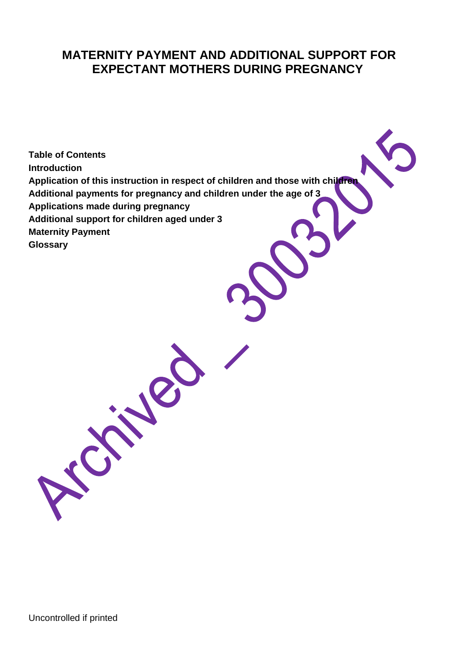### **MATERNITY PAYMENT AND ADDITIONAL SUPPORT FOR EXPECTANT MOTHERS DURING PREGNANCY**

**Table of Contents Introduction Application of this instruction in respect of children and those with children Additional payments for pregnancy and children under the age of 3 Applications made during pregnancy Additional support for children aged under 3 Maternity Payment Glossary**

A 18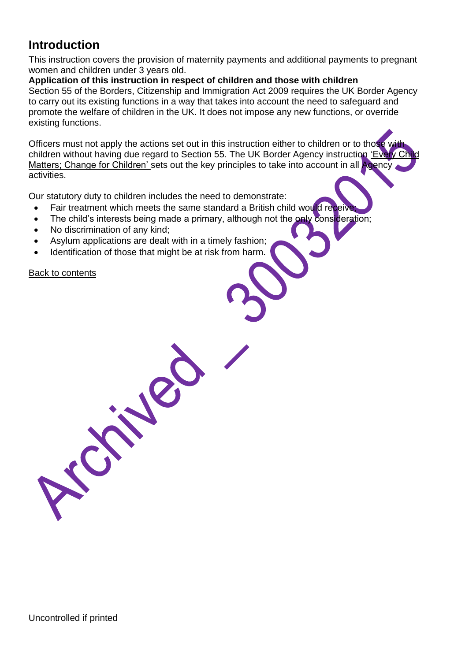## **Introduction**

This instruction covers the provision of maternity payments and additional payments to pregnant women and children under 3 years old.

**Application of this instruction in respect of children and those with children**  Section 55 of the Borders, Citizenship and Immigration Act 2009 requires the UK Border Agency to carry out its existing functions in a way that takes into account the need to safeguard and promote the welfare of children in the UK. It does not impose any new functions, or override existing functions.

Officers must not apply the actions set out in this instruction either to children or to those with children without having due regard to Section 55. The UK Border Agency instruction 'Every Matters; Change for Children' sets out the key principles to take into account in all Agency activities.

Our statutory duty to children includes the need to demonstrate:

- Fair treatment which meets the same standard a British child would receive
- The child's interests being made a primary, although not the only consideration;
- No discrimination of any kind;
- Asylum applications are dealt with in a timely fashion;
- Identification of those that might be at risk from harm.

J. P

Back to contents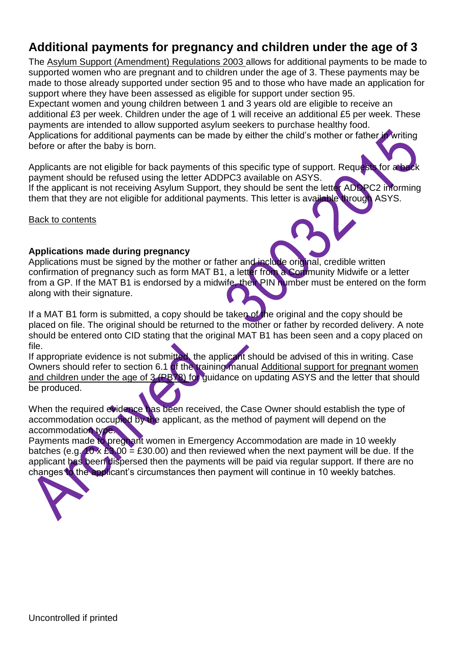# **Additional payments for pregnancy and children under the age of 3**

The Asylum Support (Amendment) Regulations 2003 allows for additional payments to be made to supported women who are pregnant and to children under the age of 3. These payments may be made to those already supported under section 95 and to those who have made an application for support where they have been assessed as eligible for support under section 95.

Expectant women and young children between 1 and 3 years old are eligible to receive an additional £3 per week. Children under the age of 1 will receive an additional £5 per week. These payments are intended to allow supported asylum seekers to purchase healthy food. Applications for additional payments can be made by either the child's mother or father in writing

before or after the baby is born.

Applicants are not eligible for back payments of this specific type of support. Requests for a back payment should be refused using the letter ADDPC3 available on ASYS. If the applicant is not receiving Asylum Support, they should be sent the letter ADDPC2 informing them that they are not eligible for additional payments. This letter is available through ASYS.

Back to contents

#### **Applications made during pregnancy**

Applications must be signed by the mother or father and include original, credible written confirmation of pregnancy such as form MAT B1, a letter from a Community Midwife or a letter from a GP. If the MAT B1 is endorsed by a midwife, their PIN number must be entered on the form along with their signature.

If a MAT B1 form is submitted, a copy should be taken of the original and the copy should be placed on file. The original should be returned to the mother or father by recorded delivery. A note should be entered onto CID stating that the original MAT B1 has been seen and a copy placed on file.

If appropriate evidence is not submitted, the applicant should be advised of this in writing. Case Owners should refer to section 6.1 of the training manual Additional support for pregnant women and children under the age of 3 (PB78) for guidance on updating ASYS and the letter that should be produced.

When the required evidence has been received, the Case Owner should establish the type of accommodation occupied by the applicant, as the method of payment will depend on the accommodation type.

Payments made to pregnant women in Emergency Accommodation are made in 10 weekly batches (e.g.  $10 \times 23.00 = 230.00$ ) and then reviewed when the next payment will be due. If the applicant has been dispersed then the payments will be paid via regular support. If there are no changes to the applicant's circumstances then payment will continue in 10 weekly batches.

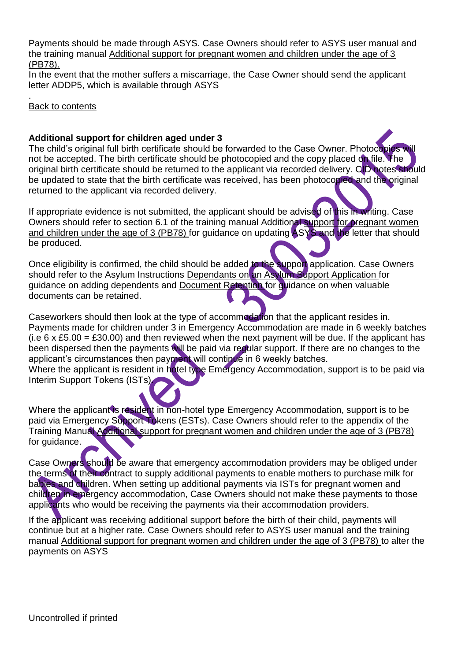Payments should be made through ASYS. Case Owners should refer to ASYS user manual and the training manual Additional support for pregnant women and children under the age of 3 (PB78).

In the event that the mother suffers a miscarriage, the Case Owner should send the applicant letter ADDP5, which is available through ASYS

. Back to contents

#### **Additional support for children aged under 3**

The child's original full birth certificate should be forwarded to the Case Owner. Photocopies will not be accepted. The birth certificate should be photocopied and the copy placed on file. The original birth certificate should be returned to the applicant via recorded delivery. CID notes should be updated to state that the birth certificate was received, has been photocopied and the original returned to the applicant via recorded delivery.

If appropriate evidence is not submitted, the applicant should be advised of this in writing. Case Owners should refer to section 6.1 of the training manual Additional support for pregnant women and children under the age of 3 (PB78) for guidance on updating ASYS and the letter that should be produced.

Once eligibility is confirmed, the child should be added to the support application. Case Owners should refer to the Asylum Instructions Dependants on an Asylum Support Application for guidance on adding dependents and Document Retention for guidance on when valuable documents can be retained.

Caseworkers should then look at the type of accommodation that the applicant resides in. Payments made for children under 3 in Emergency Accommodation are made in 6 weekly batches (i.e 6 x £5.00 = £30.00) and then reviewed when the next payment will be due. If the applicant has been dispersed then the payments will be paid via regular support. If there are no changes to the applicant's circumstances then payment will continue in 6 weekly batches. Where the applicant is resident in hotel type Emergency Accommodation, support is to be paid via

Interim Support Tokens (ISTs).

Where the applicant is resident in non-hotel type Emergency Accommodation, support is to be paid via Emergency Support Tokens (ESTs). Case Owners should refer to the appendix of the Training Manual Additional support for pregnant women and children under the age of 3 (PB78) for guidance.

Case Owners should be aware that emergency accommodation providers may be obliged under the terms of their contract to supply additional payments to enable mothers to purchase milk for babies and children. When setting up additional payments via ISTs for pregnant women and children in emergency accommodation, Case Owners should not make these payments to those applicants who would be receiving the payments via their accommodation providers.

If the applicant was receiving additional support before the birth of their child, payments will continue but at a higher rate. Case Owners should refer to ASYS user manual and the training manual Additional support for pregnant women and children under the age of 3 (PB78) to alter the payments on ASYS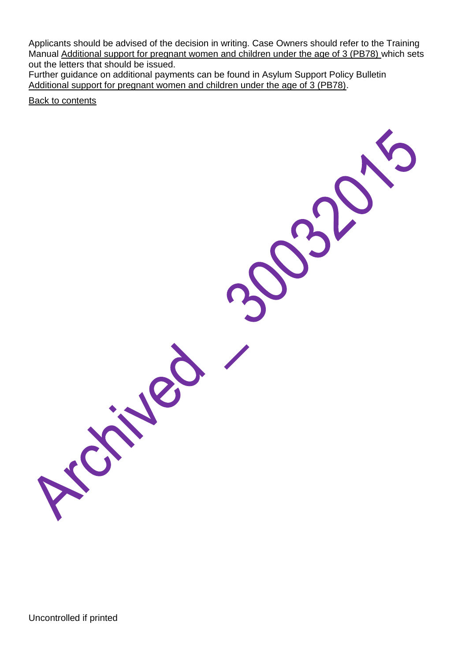Applicants should be advised of the decision in writing. Case Owners should refer to the Training Manual Additional support for pregnant women and children under the age of 3 (PB78) which sets out the letters that should be issued.

Further guidance on additional payments can be found in Asylum Support Policy Bulletin Additional support for pregnant women and children under the age of 3 (PB78).

Back to contents

Uncontrolled if printed

Ne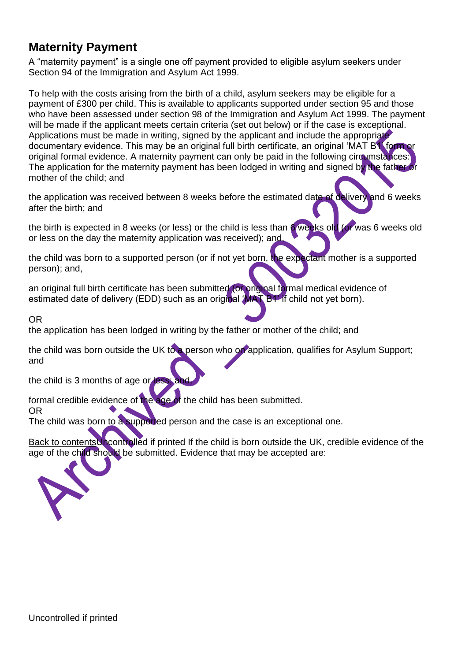## **Maternity Payment**

A "maternity payment" is a single one off payment provided to eligible asylum seekers under Section 94 of the Immigration and Asylum Act 1999.

To help with the costs arising from the birth of a child, asylum seekers may be eligible for a payment of £300 per child. This is available to applicants supported under section 95 and those who have been assessed under section 98 of the Immigration and Asylum Act 1999. The payment will be made if the applicant meets certain criteria (set out below) or if the case is exceptional. Applications must be made in writing, signed by the applicant and include the appropriate documentary evidence. This may be an original full birth certificate, an original 'MAT B1' form or original formal evidence. A maternity payment can only be paid in the following circumstances: The application for the maternity payment has been lodged in writing and signed by the father or mother of the child; and

the application was received between 8 weeks before the estimated date of delivery and 6 weeks after the birth; and

the birth is expected in 8 weeks (or less) or the child is less than 6 weeks old (or was 6 weeks old or less on the day the maternity application was received); and,

the child was born to a supported person (or if not yet born, the expectant mother is a supported person); and,

an original full birth certificate has been submitted (or original formal medical evidence of estimated date of delivery (EDD) such as an original 'MAT B1' if child not yet born).

OR

the application has been lodged in writing by the father or mother of the child; and

the child was born outside the UK to a person who on application, qualifies for Asylum Support; and

the child is 3 months of age or less

formal credible evidence of the age of the child has been submitted.

OR

The child was born to a supported person and the case is an exceptional one.

Back to contentsUncontrolled if printed If the child is born outside the UK, credible evidence of the age of the child should be submitted. Evidence that may be accepted are:

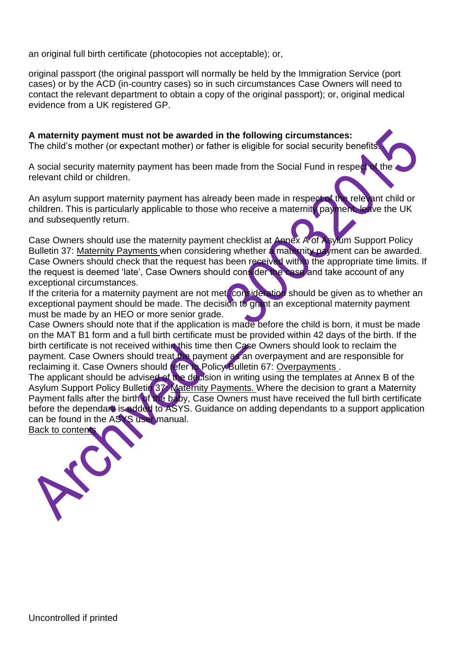an original full birth certificate (photocopies not acceptable); or,

original passport (the original passport will normally be held by the Immigration Service (port cases) or by the ACD (in-country cases) so in such circumstances Case Owners will need to contact the relevant department to obtain a copy of the original passport); or, original medical evidence from a UK registered GP.

**A maternity payment must not be awarded in the following circumstances:**  The child's mother (or expectant mother) or father is eligible for social security benefits

A social security maternity payment has been made from the Social Fund in respect of the relevant child or children.

An asylum support maternity payment has already been made in respect of the relevant child or children. This is particularly applicable to those who receive a maternity payment, leave the UK and subsequently return.

Case Owners should use the maternity payment checklist at Annex A of Asylum Support Policy Bulletin 37: Maternity Payments when considering whether a maternity payment can be awarded. Case Owners should check that the request has been received within the appropriate time limits. If the request is deemed 'late', Case Owners should consider the case and take account of any exceptional circumstances.

If the criteria for a maternity payment are not met, consideration should be given as to whether an exceptional payment should be made. The decision to grant an exceptional maternity payment must be made by an HEO or more senior grade.

Case Owners should note that if the application is made before the child is born, it must be made on the MAT B1 form and a full birth certificate must be provided within 42 days of the birth. If the birth certificate is not received within this time then Case Owners should look to reclaim the payment. Case Owners should treat the payment as an overpayment and are responsible for reclaiming it. Case Owners should refer to Policy Bulletin 67: Overpayments.

The applicant should be advised of the decision in writing using the templates at Annex B of the Asylum Support Policy Bulletin 37: Maternity Payments. Where the decision to grant a Maternity Payment falls after the birth of the baby, Case Owners must have received the full birth certificate before the dependant is added to ASYS. Guidance on adding dependants to a support application can be found in the ASYS user manual.

Back to contents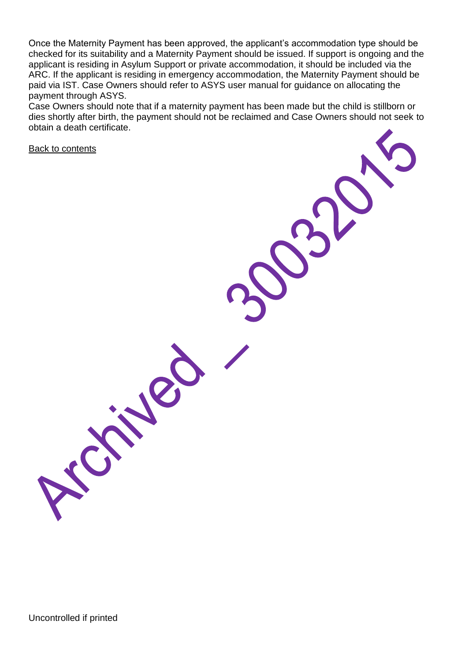Once the Maternity Payment has been approved, the applicant's accommodation type should be checked for its suitability and a Maternity Payment should be issued. If support is ongoing and the applicant is residing in Asylum Support or private accommodation, it should be included via the ARC. If the applicant is residing in emergency accommodation, the Maternity Payment should be paid via IST. Case Owners should refer to ASYS user manual for guidance on allocating the payment through ASYS.

Case Owners should note that if a maternity payment has been made but the child is stillborn or dies shortly after birth, the payment should not be reclaimed and Case Owners should not seek to obtain a death certificate.

Back to contents

Uncontrolled if printed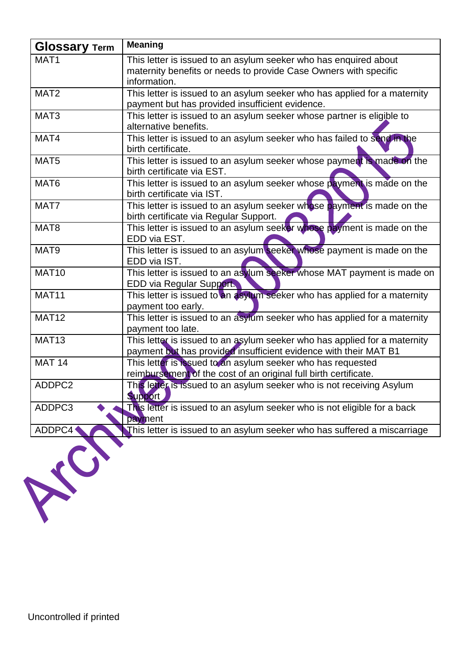| <b>Glossary Term</b> | <b>Meaning</b>                                                            |
|----------------------|---------------------------------------------------------------------------|
| MAT <sub>1</sub>     | This letter is issued to an asylum seeker who has enquired about          |
|                      | maternity benefits or needs to provide Case Owners with specific          |
|                      | information.                                                              |
| MAT <sub>2</sub>     | This letter is issued to an asylum seeker who has applied for a maternity |
|                      | payment but has provided insufficient evidence.                           |
| MAT <sub>3</sub>     | This letter is issued to an asylum seeker whose partner is eligible to    |
|                      | alternative benefits.                                                     |
| MAT4                 | This letter is issued to an asylum seeker who has failed to send in the   |
|                      | birth certificate.                                                        |
| MAT <sub>5</sub>     | This letter is issued to an asylum seeker whose payment is made on the    |
|                      | birth certificate via EST.                                                |
| MAT6                 | This letter is issued to an asylum seeker whose payment is made on the    |
|                      | birth certificate via IST.                                                |
| MAT7                 | This letter is issued to an asylum seeker whose payment is made on the    |
|                      | birth certificate via Regular Support.                                    |
| MAT <sub>8</sub>     | This letter is issued to an asylum seeker whose payment is made on the    |
|                      | EDD via EST.                                                              |
| MAT9                 | This letter is issued to an asylum seeker whose payment is made on the    |
|                      | EDD via IST.                                                              |
| <b>MAT10</b>         | This letter is issued to an asylum seeker whose MAT payment is made on    |
|                      | <b>EDD via Regular Support</b>                                            |
| MAT <sub>11</sub>    | This letter is issued to an asylum seeker who has applied for a maternity |
|                      | payment too early.                                                        |
| <b>MAT12</b>         | This letter is issued to an asylum seeker who has applied for a maternity |
|                      | payment too late.                                                         |
| <b>MAT13</b>         | This letter is issued to an asylum seeker who has applied for a maternity |
|                      | payment but has provided insufficient evidence with their MAT B1          |
| <b>MAT 14</b>        | This letter is issued to an asylum seeker who has requested               |
|                      | reimbursement of the cost of an original full birth certificate.          |
| ADDPC2               | This letter is issued to an asylum seeker who is not receiving Asylum     |
|                      | Support                                                                   |
| ADDPC3               | This letter is issued to an asylum seeker who is not eligible for a back  |
|                      | payment                                                                   |
| ADDPC4               | This letter is issued to an asylum seeker who has suffered a miscarriage  |
|                      |                                                                           |